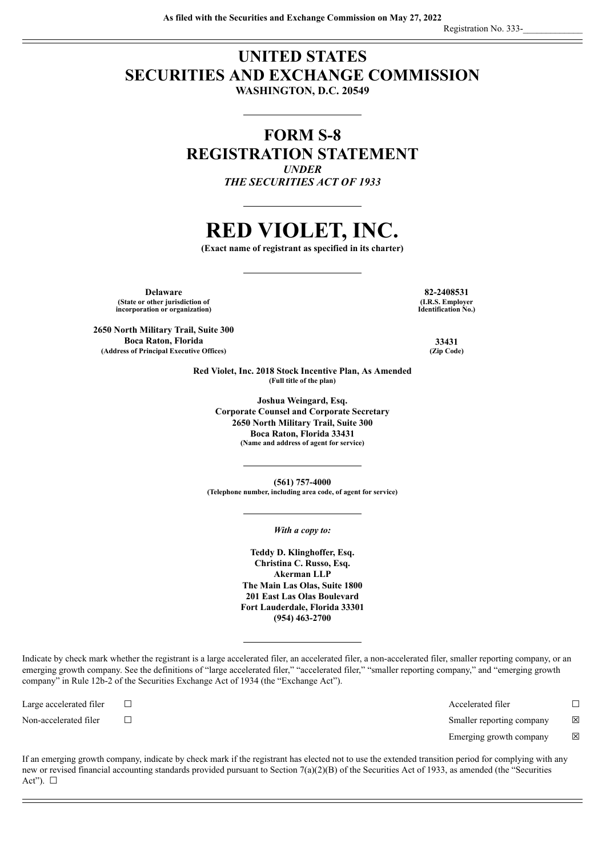# **UNITED STATES SECURITIES AND EXCHANGE COMMISSION WASHINGTON, D.C. 20549**

**FORM S-8 REGISTRATION STATEMENT** *UNDER THE SECURITIES ACT OF 1933*

# **RED VIOLET, INC.**

**(Exact name of registrant as specified in its charter)**

**Delaware 82-2408531 (State or other jurisdiction of incorporation or organization)**

**2650 North Military Trail, Suite 300 Boca Raton, Florida 33431 (Address of Principal Executive Offices) (Zip Code)**

**(I.R.S. Employer Identification No.)**

**Red Violet, Inc. 2018 Stock Incentive Plan, As Amended (Full title of the plan)**

> **Joshua Weingard, Esq. Corporate Counsel and Corporate Secretary 2650 North Military Trail, Suite 300 Boca Raton, Florida 33431 (Name and address of agent for service)**

**(561) 757-4000 (Telephone number, including area code, of agent for service)**

*With a copy to:*

**Teddy D. Klinghoffer, Esq. Christina C. Russo, Esq. Akerman LLP The Main Las Olas, Suite 1800 201 East Las Olas Boulevard Fort Lauderdale, Florida 33301 (954) 463-2700**

Indicate by check mark whether the registrant is a large accelerated filer, an accelerated filer, a non-accelerated filer, smaller reporting company, or an emerging growth company. See the definitions of "large accelerated filer," "accelerated filer," "smaller reporting company," and "emerging growth company" in Rule 12b-2 of the Securities Exchange Act of 1934 (the "Exchange Act").

Large accelerated filer ☐ Accelerated filer ☐ Non-accelerated filer ☐ Smaller reporting company ☒ Emerging growth company  $\boxtimes$ 

If an emerging growth company, indicate by check mark if the registrant has elected not to use the extended transition period for complying with any new or revised financial accounting standards provided pursuant to Section 7(a)(2)(B) of the Securities Act of 1933, as amended (the "Securities Act").  $\square$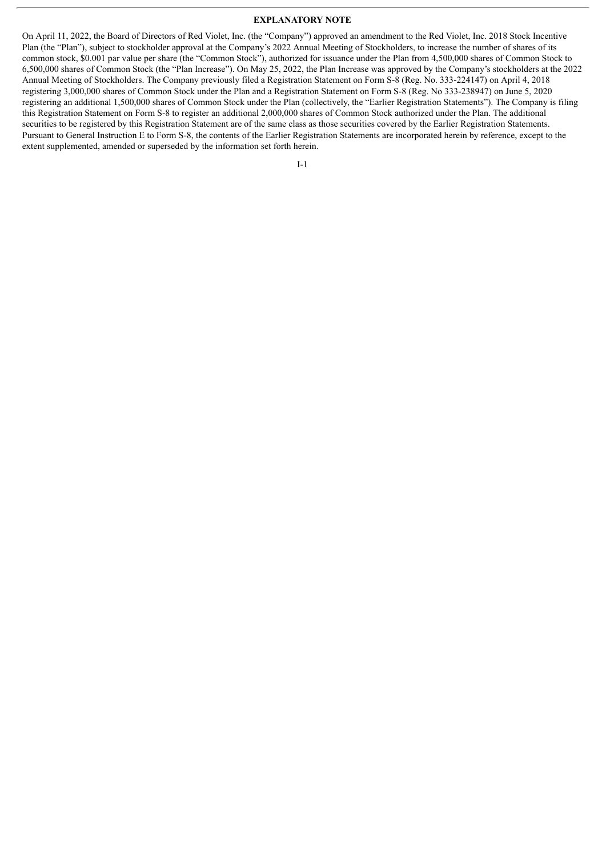#### **EXPLANATORY NOTE**

On April 11, 2022, the Board of Directors of Red Violet, Inc. (the "Company") approved an amendment to the Red Violet, Inc. 2018 Stock Incentive Plan (the "Plan"), subject to stockholder approval at the Company's 2022 Annual Meeting of Stockholders, to increase the number of shares of its common stock, \$0.001 par value per share (the "Common Stock"), authorized for issuance under the Plan from 4,500,000 shares of Common Stock to 6,500,000 shares of Common Stock (the "Plan Increase"). On May 25, 2022, the Plan Increase was approved by the Company's stockholders at the 2022 Annual Meeting of Stockholders. The Company previously filed a Registration Statement on Form S-8 (Reg. No. 333-224147) on April 4, 2018 registering 3,000,000 shares of Common Stock under the Plan and a Registration Statement on Form S-8 (Reg. No 333-238947) on June 5, 2020 registering an additional 1,500,000 shares of Common Stock under the Plan (collectively, the "Earlier Registration Statements"). The Company is filing this Registration Statement on Form S-8 to register an additional 2,000,000 shares of Common Stock authorized under the Plan. The additional securities to be registered by this Registration Statement are of the same class as those securities covered by the Earlier Registration Statements. Pursuant to General Instruction E to Form S-8, the contents of the Earlier Registration Statements are incorporated herein by reference, except to the extent supplemented, amended or superseded by the information set forth herein.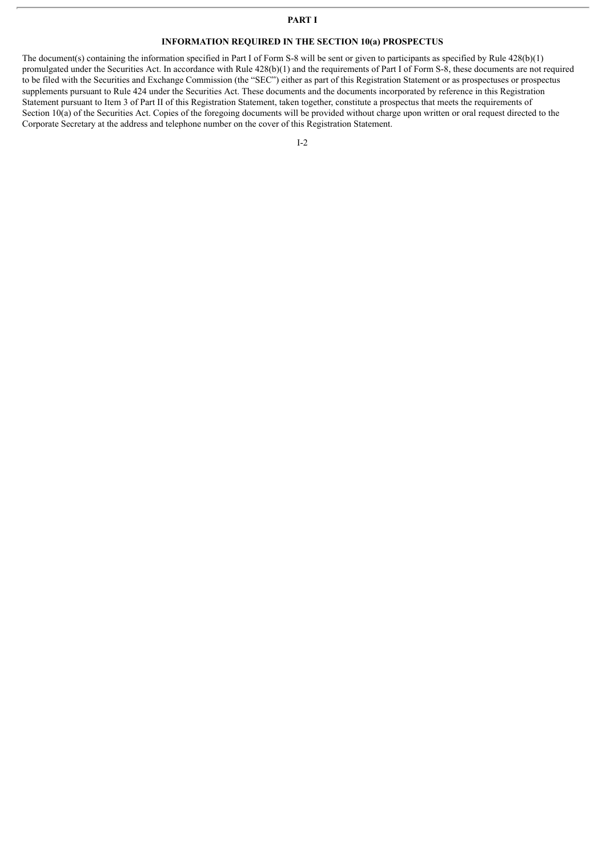#### **PART I**

# **INFORMATION REQUIRED IN THE SECTION 10(a) PROSPECTUS**

The document(s) containing the information specified in Part I of Form S-8 will be sent or given to participants as specified by Rule 428(b)(1) promulgated under the Securities Act. In accordance with Rule 428(b)(1) and the requirements of Part I of Form S-8, these documents are not required to be filed with the Securities and Exchange Commission (the "SEC") either as part of this Registration Statement or as prospectuses or prospectus supplements pursuant to Rule 424 under the Securities Act. These documents and the documents incorporated by reference in this Registration Statement pursuant to Item 3 of Part II of this Registration Statement, taken together, constitute a prospectus that meets the requirements of Section 10(a) of the Securities Act. Copies of the foregoing documents will be provided without charge upon written or oral request directed to the Corporate Secretary at the address and telephone number on the cover of this Registration Statement.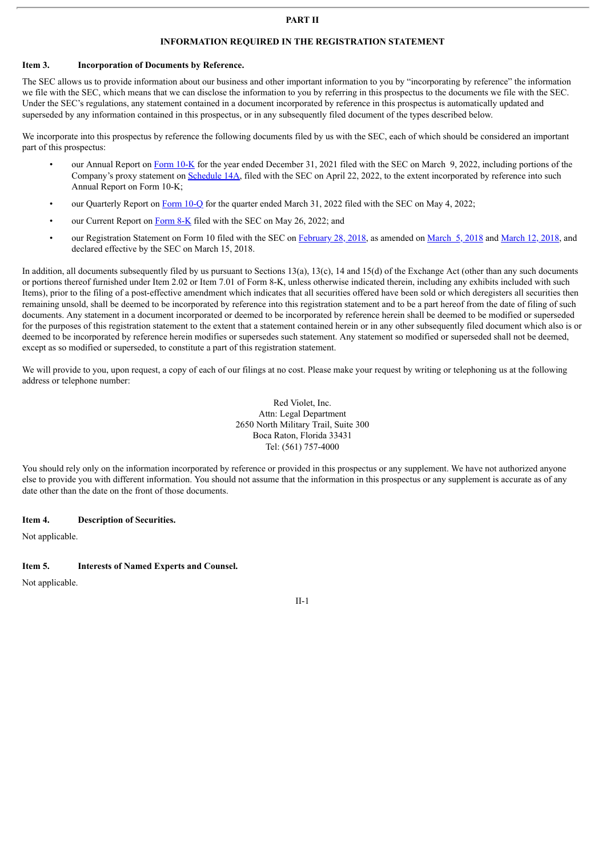#### **PART II**

# **INFORMATION REQUIRED IN THE REGISTRATION STATEMENT**

#### **Item 3. Incorporation of Documents by Reference.**

The SEC allows us to provide information about our business and other important information to you by "incorporating by reference" the information we file with the SEC, which means that we can disclose the information to you by referring in this prospectus to the documents we file with the SEC. Under the SEC's regulations, any statement contained in a document incorporated by reference in this prospectus is automatically updated and superseded by any information contained in this prospectus, or in any subsequently filed document of the types described below.

We incorporate into this prospectus by reference the following documents filed by us with the SEC, each of which should be considered an important part of this prospectus:

- our Annual Report on [Form](http://www.sec.gov/Archives/edgar/data/1720116/000095017022003240/rdvt-20211231.htm) 10-K for the year ended December 31, 2021 filed with the SEC on March 9, 2022, including portions of the Company's proxy statement on [Schedule](http://www.sec.gov/Archives/edgar/data/1720116/000119312522115150/d300333ddef14a.htm) 14A, filed with the SEC on April 22, 2022, to the extent incorporated by reference into such Annual Report on Form 10-K;
- our Quarterly Report on [Form](http://www.sec.gov/Archives/edgar/data/1720116/000095017022007433/rdvt-20220331.htm) 10-Q for the quarter ended March 31, 2022 filed with the SEC on May 4, 2022;
- our Current Report on [Form](http://www.sec.gov/ix?doc=/Archives/edgar/data/1720116/000095017022010778/rdvt-20220525.htm) 8-K filed with the SEC on May 26, 2022; and
- our Registration Statement on Form 10 filed with the SEC on [February](http://www.sec.gov/Archives/edgar/data/1720116/000119312518062230/d528710d1012b.htm) 28, 2018, as amended on [March](http://www.sec.gov/Archives/edgar/data/1720116/000119312518079481/d528710d1012ba.htm) 5, 2018 and March 12, 2018, and declared effective by the SEC on March 15, 2018.

In addition, all documents subsequently filed by us pursuant to Sections 13(a), 13(c), 14 and 15(d) of the Exchange Act (other than any such documents or portions thereof furnished under Item 2.02 or Item 7.01 of Form 8-K, unless otherwise indicated therein, including any exhibits included with such Items), prior to the filing of a post-effective amendment which indicates that all securities offered have been sold or which deregisters all securities then remaining unsold, shall be deemed to be incorporated by reference into this registration statement and to be a part hereof from the date of filing of such documents. Any statement in a document incorporated or deemed to be incorporated by reference herein shall be deemed to be modified or superseded for the purposes of this registration statement to the extent that a statement contained herein or in any other subsequently filed document which also is or deemed to be incorporated by reference herein modifies or supersedes such statement. Any statement so modified or superseded shall not be deemed, except as so modified or superseded, to constitute a part of this registration statement.

We will provide to you, upon request, a copy of each of our filings at no cost. Please make your request by writing or telephoning us at the following address or telephone number:

> Red Violet, Inc. Attn: Legal Department 2650 North Military Trail, Suite 300 Boca Raton, Florida 33431 Tel: (561) 757-4000

You should rely only on the information incorporated by reference or provided in this prospectus or any supplement. We have not authorized anyone else to provide you with different information. You should not assume that the information in this prospectus or any supplement is accurate as of any date other than the date on the front of those documents.

#### **Item 4. Description of Securities.**

Not applicable.

#### **Item 5. Interests of Named Experts and Counsel.**

Not applicable.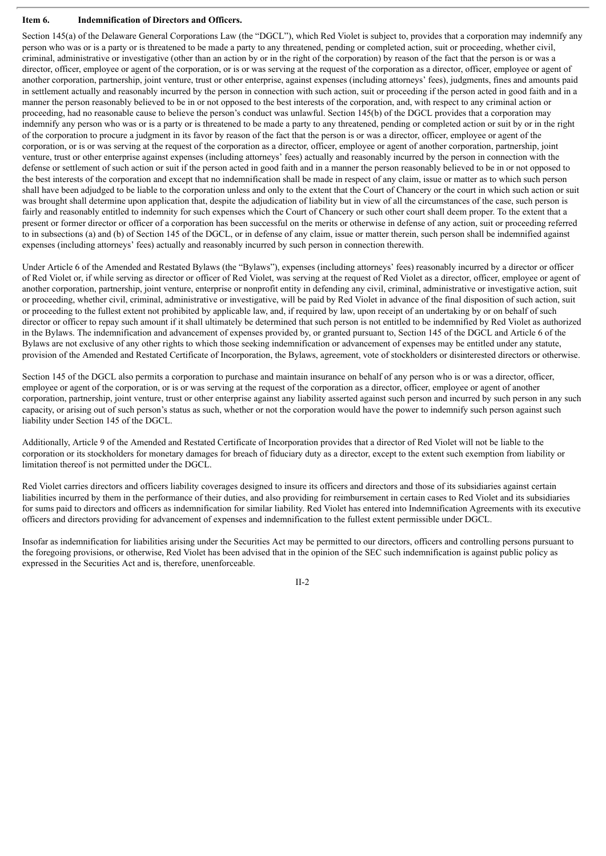### **Item 6. Indemnification of Directors and Officers.**

Section 145(a) of the Delaware General Corporations Law (the "DGCL"), which Red Violet is subject to, provides that a corporation may indemnify any person who was or is a party or is threatened to be made a party to any threatened, pending or completed action, suit or proceeding, whether civil, criminal, administrative or investigative (other than an action by or in the right of the corporation) by reason of the fact that the person is or was a director, officer, employee or agent of the corporation, or is or was serving at the request of the corporation as a director, officer, employee or agent of another corporation, partnership, joint venture, trust or other enterprise, against expenses (including attorneys' fees), judgments, fines and amounts paid in settlement actually and reasonably incurred by the person in connection with such action, suit or proceeding if the person acted in good faith and in a manner the person reasonably believed to be in or not opposed to the best interests of the corporation, and, with respect to any criminal action or proceeding, had no reasonable cause to believe the person's conduct was unlawful. Section 145(b) of the DGCL provides that a corporation may indemnify any person who was or is a party or is threatened to be made a party to any threatened, pending or completed action or suit by or in the right of the corporation to procure a judgment in its favor by reason of the fact that the person is or was a director, officer, employee or agent of the corporation, or is or was serving at the request of the corporation as a director, officer, employee or agent of another corporation, partnership, joint venture, trust or other enterprise against expenses (including attorneys' fees) actually and reasonably incurred by the person in connection with the defense or settlement of such action or suit if the person acted in good faith and in a manner the person reasonably believed to be in or not opposed to the best interests of the corporation and except that no indemnification shall be made in respect of any claim, issue or matter as to which such person shall have been adjudged to be liable to the corporation unless and only to the extent that the Court of Chancery or the court in which such action or suit was brought shall determine upon application that, despite the adjudication of liability but in view of all the circumstances of the case, such person is fairly and reasonably entitled to indemnity for such expenses which the Court of Chancery or such other court shall deem proper. To the extent that a present or former director or officer of a corporation has been successful on the merits or otherwise in defense of any action, suit or proceeding referred to in subsections (a) and (b) of Section 145 of the DGCL, or in defense of any claim, issue or matter therein, such person shall be indemnified against expenses (including attorneys' fees) actually and reasonably incurred by such person in connection therewith.

Under Article 6 of the Amended and Restated Bylaws (the "Bylaws"), expenses (including attorneys' fees) reasonably incurred by a director or officer of Red Violet or, if while serving as director or officer of Red Violet, was serving at the request of Red Violet as a director, officer, employee or agent of another corporation, partnership, joint venture, enterprise or nonprofit entity in defending any civil, criminal, administrative or investigative action, suit or proceeding, whether civil, criminal, administrative or investigative, will be paid by Red Violet in advance of the final disposition of such action, suit or proceeding to the fullest extent not prohibited by applicable law, and, if required by law, upon receipt of an undertaking by or on behalf of such director or officer to repay such amount if it shall ultimately be determined that such person is not entitled to be indemnified by Red Violet as authorized in the Bylaws. The indemnification and advancement of expenses provided by, or granted pursuant to, Section 145 of the DGCL and Article 6 of the Bylaws are not exclusive of any other rights to which those seeking indemnification or advancement of expenses may be entitled under any statute, provision of the Amended and Restated Certificate of Incorporation, the Bylaws, agreement, vote of stockholders or disinterested directors or otherwise.

Section 145 of the DGCL also permits a corporation to purchase and maintain insurance on behalf of any person who is or was a director, officer, employee or agent of the corporation, or is or was serving at the request of the corporation as a director, officer, employee or agent of another corporation, partnership, joint venture, trust or other enterprise against any liability asserted against such person and incurred by such person in any such capacity, or arising out of such person's status as such, whether or not the corporation would have the power to indemnify such person against such liability under Section 145 of the DGCL.

Additionally, Article 9 of the Amended and Restated Certificate of Incorporation provides that a director of Red Violet will not be liable to the corporation or its stockholders for monetary damages for breach of fiduciary duty as a director, except to the extent such exemption from liability or limitation thereof is not permitted under the DGCL.

Red Violet carries directors and officers liability coverages designed to insure its officers and directors and those of its subsidiaries against certain liabilities incurred by them in the performance of their duties, and also providing for reimbursement in certain cases to Red Violet and its subsidiaries for sums paid to directors and officers as indemnification for similar liability. Red Violet has entered into Indemnification Agreements with its executive officers and directors providing for advancement of expenses and indemnification to the fullest extent permissible under DGCL.

Insofar as indemnification for liabilities arising under the Securities Act may be permitted to our directors, officers and controlling persons pursuant to the foregoing provisions, or otherwise, Red Violet has been advised that in the opinion of the SEC such indemnification is against public policy as expressed in the Securities Act and is, therefore, unenforceable.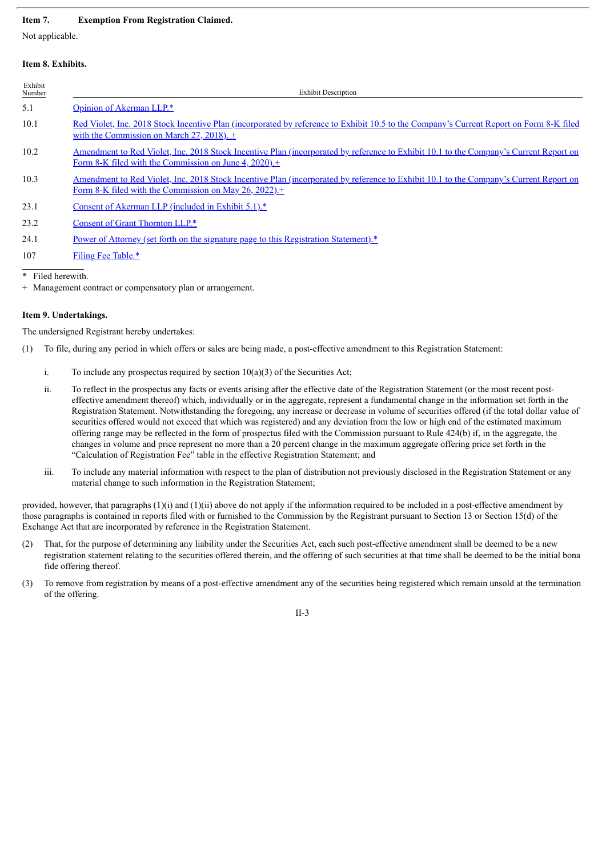# **Item 7. Exemption From Registration Claimed.**

Not applicable.

#### **Item 8. Exhibits.**

| Exhibit<br>Number                                                                                                                                                                                                                 | <b>Exhibit Description</b>                                                                                                                                                                       |
|-----------------------------------------------------------------------------------------------------------------------------------------------------------------------------------------------------------------------------------|--------------------------------------------------------------------------------------------------------------------------------------------------------------------------------------------------|
| 5.1                                                                                                                                                                                                                               | Opinion of Akerman LLP.*                                                                                                                                                                         |
| 10.1                                                                                                                                                                                                                              | Red Violet, Inc. 2018 Stock Incentive Plan (incorporated by reference to Exhibit 10.5 to the Company's Current Report on Form 8-K filed<br>with the Commission on March 27, 2018). $+$           |
| 10.2                                                                                                                                                                                                                              | Amendment to Red Violet, Inc. 2018 Stock Incentive Plan (incorporated by reference to Exhibit 10.1 to the Company's Current Report on<br>Form 8-K filed with the Commission on June $4, 2020$ ). |
| 10.3                                                                                                                                                                                                                              | Amendment to Red Violet, Inc. 2018 Stock Incentive Plan (incorporated by reference to Exhibit 10.1 to the Company's Current Report on<br>Form 8-K filed with the Commission on May $26, 2022$ ). |
| 23.1                                                                                                                                                                                                                              | Consent of Akerman LLP (included in Exhibit 5.1).*                                                                                                                                               |
| 23.2                                                                                                                                                                                                                              | Consent of Grant Thornton LLP.*                                                                                                                                                                  |
| 24.1                                                                                                                                                                                                                              | Power of Attorney (set forth on the signature page to this Registration Statement).*                                                                                                             |
| 107                                                                                                                                                                                                                               | Filing Fee Table.*                                                                                                                                                                               |
| $\mathbf{r}$ . The set of the set of the set of the set of the set of the set of the set of the set of the set of the set of the set of the set of the set of the set of the set of the set of the set of the set of the set of t |                                                                                                                                                                                                  |

\* Filed herewith.

+ Management contract or compensatory plan or arrangement.

#### **Item 9. Undertakings.**

The undersigned Registrant hereby undertakes:

(1) To file, during any period in which offers or sales are being made, a post-effective amendment to this Registration Statement:

- i. To include any prospectus required by section  $10(a)(3)$  of the Securities Act;
- ii. To reflect in the prospectus any facts or events arising after the effective date of the Registration Statement (or the most recent posteffective amendment thereof) which, individually or in the aggregate, represent a fundamental change in the information set forth in the Registration Statement. Notwithstanding the foregoing, any increase or decrease in volume of securities offered (if the total dollar value of securities offered would not exceed that which was registered) and any deviation from the low or high end of the estimated maximum offering range may be reflected in the form of prospectus filed with the Commission pursuant to Rule 424(b) if, in the aggregate, the changes in volume and price represent no more than a 20 percent change in the maximum aggregate offering price set forth in the "Calculation of Registration Fee" table in the effective Registration Statement; and
- iii. To include any material information with respect to the plan of distribution not previously disclosed in the Registration Statement or any material change to such information in the Registration Statement;

provided, however, that paragraphs (1)(i) and (1)(ii) above do not apply if the information required to be included in a post-effective amendment by those paragraphs is contained in reports filed with or furnished to the Commission by the Registrant pursuant to Section 13 or Section 15(d) of the Exchange Act that are incorporated by reference in the Registration Statement.

- (2) That, for the purpose of determining any liability under the Securities Act, each such post-effective amendment shall be deemed to be a new registration statement relating to the securities offered therein, and the offering of such securities at that time shall be deemed to be the initial bona fide offering thereof.
- (3) To remove from registration by means of a post-effective amendment any of the securities being registered which remain unsold at the termination of the offering.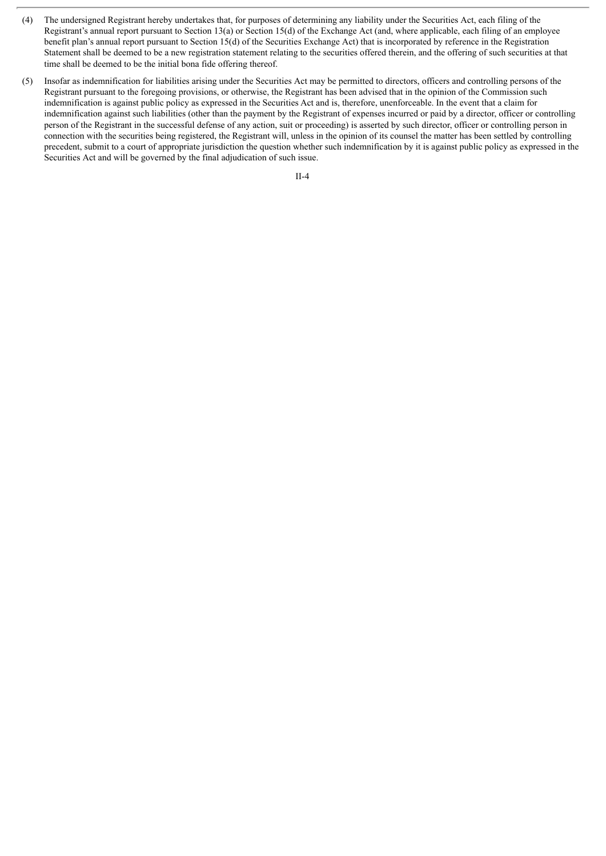- (4) The undersigned Registrant hereby undertakes that, for purposes of determining any liability under the Securities Act, each filing of the Registrant's annual report pursuant to Section 13(a) or Section 15(d) of the Exchange Act (and, where applicable, each filing of an employee benefit plan's annual report pursuant to Section 15(d) of the Securities Exchange Act) that is incorporated by reference in the Registration Statement shall be deemed to be a new registration statement relating to the securities offered therein, and the offering of such securities at that time shall be deemed to be the initial bona fide offering thereof.
- (5) Insofar as indemnification for liabilities arising under the Securities Act may be permitted to directors, officers and controlling persons of the Registrant pursuant to the foregoing provisions, or otherwise, the Registrant has been advised that in the opinion of the Commission such indemnification is against public policy as expressed in the Securities Act and is, therefore, unenforceable. In the event that a claim for indemnification against such liabilities (other than the payment by the Registrant of expenses incurred or paid by a director, officer or controlling person of the Registrant in the successful defense of any action, suit or proceeding) is asserted by such director, officer or controlling person in connection with the securities being registered, the Registrant will, unless in the opinion of its counsel the matter has been settled by controlling precedent, submit to a court of appropriate jurisdiction the question whether such indemnification by it is against public policy as expressed in the Securities Act and will be governed by the final adjudication of such issue.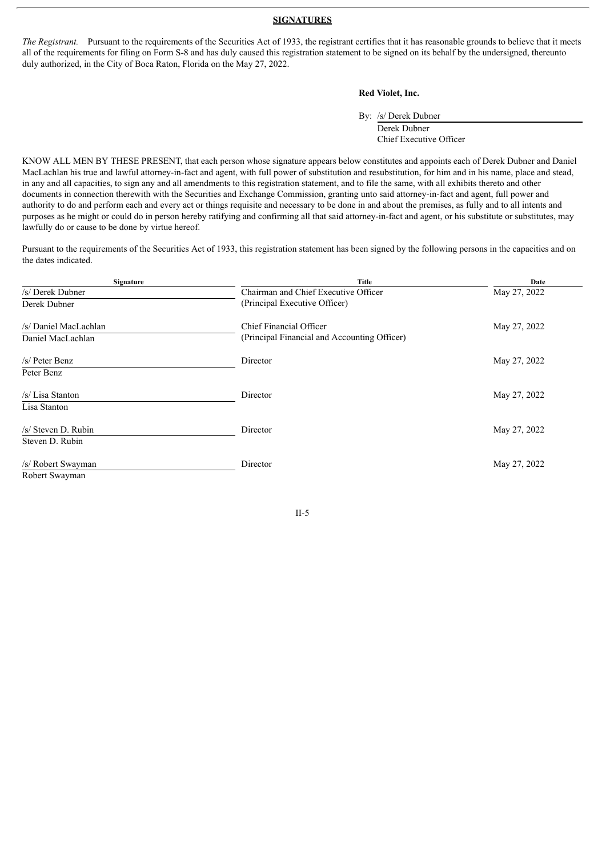#### **SIGNATURES**

<span id="page-7-0"></span>*The Registrant.* Pursuant to the requirements of the Securities Act of 1933, the registrant certifies that it has reasonable grounds to believe that it meets all of the requirements for filing on Form S-8 and has duly caused this registration statement to be signed on its behalf by the undersigned, thereunto duly authorized, in the City of Boca Raton, Florida on the May 27, 2022.

#### **Red Violet, Inc.**

By: /s/ Derek Dubner

Derek Dubner Chief Executive Officer

KNOW ALL MEN BY THESE PRESENT, that each person whose signature appears below constitutes and appoints each of Derek Dubner and Daniel MacLachlan his true and lawful attorney-in-fact and agent, with full power of substitution and resubstitution, for him and in his name, place and stead, in any and all capacities, to sign any and all amendments to this registration statement, and to file the same, with all exhibits thereto and other documents in connection therewith with the Securities and Exchange Commission, granting unto said attorney-in-fact and agent, full power and authority to do and perform each and every act or things requisite and necessary to be done in and about the premises, as fully and to all intents and purposes as he might or could do in person hereby ratifying and confirming all that said attorney-in-fact and agent, or his substitute or substitutes, may lawfully do or cause to be done by virtue hereof.

Pursuant to the requirements of the Securities Act of 1933, this registration statement has been signed by the following persons in the capacities and on the dates indicated.

| Signature             | <b>Title</b>                                 | Date         |  |  |
|-----------------------|----------------------------------------------|--------------|--|--|
| /s/ Derek Dubner      | Chairman and Chief Executive Officer         | May 27, 2022 |  |  |
| Derek Dubner          | (Principal Executive Officer)                |              |  |  |
| /s/ Daniel MacLachlan | Chief Financial Officer                      | May 27, 2022 |  |  |
| Daniel MacLachlan     | (Principal Financial and Accounting Officer) |              |  |  |
| /s/ Peter Benz        | Director                                     | May 27, 2022 |  |  |
| Peter Benz            |                                              |              |  |  |
| /s/ Lisa Stanton      | Director                                     | May 27, 2022 |  |  |
| Lisa Stanton          |                                              |              |  |  |
| /s/ Steven D. Rubin   | Director                                     | May 27, 2022 |  |  |
| Steven D. Rubin       |                                              |              |  |  |
| /s/ Robert Swayman    | Director                                     | May 27, 2022 |  |  |
| Robert Swayman        |                                              |              |  |  |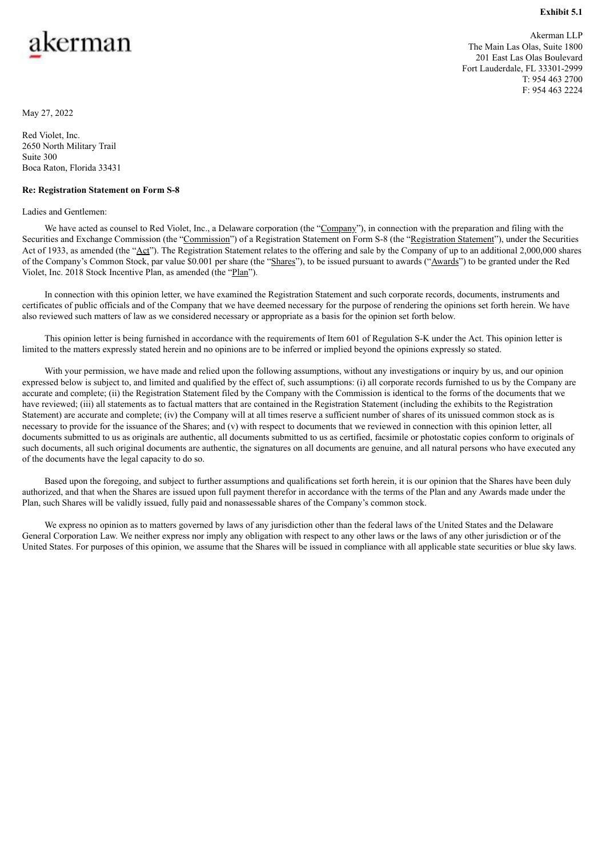<span id="page-8-0"></span>

Akerman LLP The Main Las Olas, Suite 1800 201 East Las Olas Boulevard Fort Lauderdale, FL 33301-2999 T: 954 463 2700 F: 954 463 2224

May 27, 2022

Red Violet, Inc. 2650 North Military Trail Suite 300 Boca Raton, Florida 33431

#### **Re: Registration Statement on Form S-8**

Ladies and Gentlemen:

We have acted as counsel to Red Violet, Inc., a Delaware corporation (the "Company"), in connection with the preparation and filing with the Securities and Exchange Commission (the "Commission") of a Registration Statement on Form S-8 (the "Registration Statement"), under the Securities Act of 1933, as amended (the "Act"). The Registration Statement relates to the offering and sale by the Company of up to an additional 2,000,000 shares of the Company's Common Stock, par value \$0.001 per share (the "Shares"), to be issued pursuant to awards ("Awards") to be granted under the Red Violet, Inc. 2018 Stock Incentive Plan, as amended (the "Plan").

In connection with this opinion letter, we have examined the Registration Statement and such corporate records, documents, instruments and certificates of public officials and of the Company that we have deemed necessary for the purpose of rendering the opinions set forth herein. We have also reviewed such matters of law as we considered necessary or appropriate as a basis for the opinion set forth below.

This opinion letter is being furnished in accordance with the requirements of Item 601 of Regulation S-K under the Act. This opinion letter is limited to the matters expressly stated herein and no opinions are to be inferred or implied beyond the opinions expressly so stated.

With your permission, we have made and relied upon the following assumptions, without any investigations or inquiry by us, and our opinion expressed below is subject to, and limited and qualified by the effect of, such assumptions: (i) all corporate records furnished to us by the Company are accurate and complete; (ii) the Registration Statement filed by the Company with the Commission is identical to the forms of the documents that we have reviewed; (iii) all statements as to factual matters that are contained in the Registration Statement (including the exhibits to the Registration Statement) are accurate and complete; (iv) the Company will at all times reserve a sufficient number of shares of its unissued common stock as is necessary to provide for the issuance of the Shares; and (v) with respect to documents that we reviewed in connection with this opinion letter, all documents submitted to us as originals are authentic, all documents submitted to us as certified, facsimile or photostatic copies conform to originals of such documents, all such original documents are authentic, the signatures on all documents are genuine, and all natural persons who have executed any of the documents have the legal capacity to do so.

Based upon the foregoing, and subject to further assumptions and qualifications set forth herein, it is our opinion that the Shares have been duly authorized, and that when the Shares are issued upon full payment therefor in accordance with the terms of the Plan and any Awards made under the Plan, such Shares will be validly issued, fully paid and nonassessable shares of the Company's common stock.

We express no opinion as to matters governed by laws of any jurisdiction other than the federal laws of the United States and the Delaware General Corporation Law. We neither express nor imply any obligation with respect to any other laws or the laws of any other jurisdiction or of the United States. For purposes of this opinion, we assume that the Shares will be issued in compliance with all applicable state securities or blue sky laws.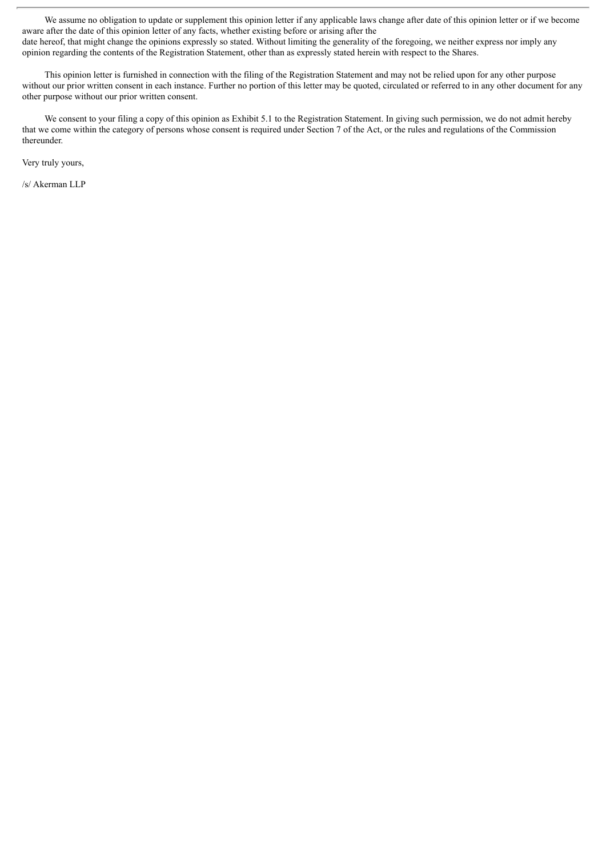We assume no obligation to update or supplement this opinion letter if any applicable laws change after date of this opinion letter or if we become aware after the date of this opinion letter of any facts, whether existing before or arising after the date hereof, that might change the opinions expressly so stated. Without limiting the generality of the foregoing, we neither express nor imply any opinion regarding the contents of the Registration Statement, other than as expressly stated herein with respect to the Shares.

This opinion letter is furnished in connection with the filing of the Registration Statement and may not be relied upon for any other purpose without our prior written consent in each instance. Further no portion of this letter may be quoted, circulated or referred to in any other document for any other purpose without our prior written consent.

We consent to your filing a copy of this opinion as Exhibit 5.1 to the Registration Statement. In giving such permission, we do not admit hereby that we come within the category of persons whose consent is required under Section 7 of the Act, or the rules and regulations of the Commission thereunder.

Very truly yours,

/s/ Akerman LLP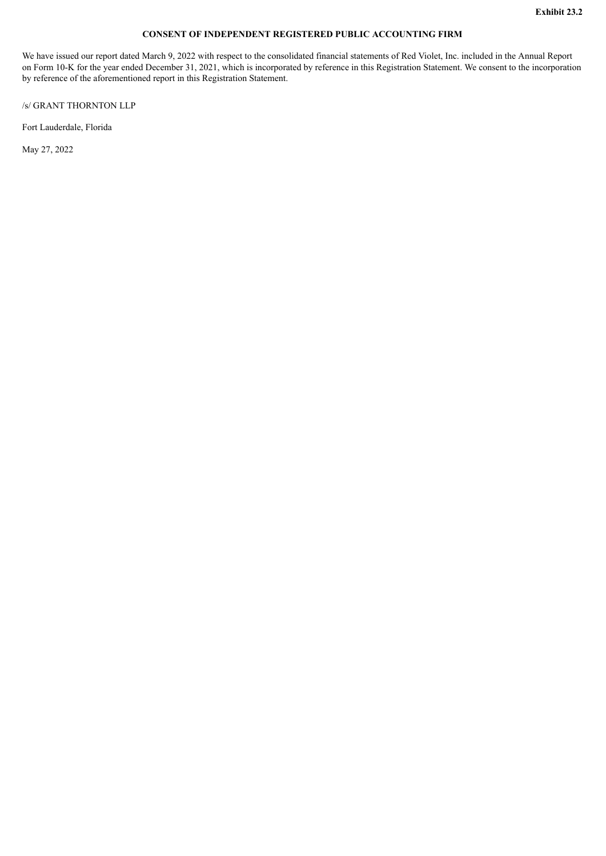# **CONSENT OF INDEPENDENT REGISTERED PUBLIC ACCOUNTING FIRM**

<span id="page-10-0"></span>We have issued our report dated March 9, 2022 with respect to the consolidated financial statements of Red Violet, Inc. included in the Annual Report on Form 10-K for the year ended December 31, 2021, which is incorporated by reference in this Registration Statement. We consent to the incorporation by reference of the aforementioned report in this Registration Statement.

/s/ GRANT THORNTON LLP

Fort Lauderdale, Florida

May 27, 2022